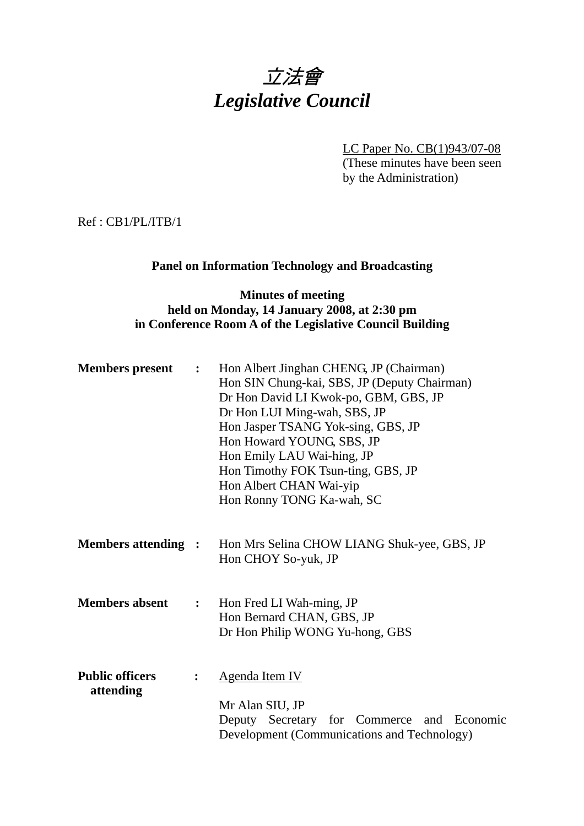# 立法會 *Legislative Council*

LC Paper No. CB(1)943/07-08 (These minutes have been seen by the Administration)

Ref : CB1/PL/ITB/1

# **Panel on Information Technology and Broadcasting**

# **Minutes of meeting held on Monday, 14 January 2008, at 2:30 pm in Conference Room A of the Legislative Council Building**

| <b>Members present</b>              | $\ddot{\cdot}$   | Hon Albert Jinghan CHENG, JP (Chairman)<br>Hon SIN Chung-kai, SBS, JP (Deputy Chairman)<br>Dr Hon David LI Kwok-po, GBM, GBS, JP<br>Dr Hon LUI Ming-wah, SBS, JP<br>Hon Jasper TSANG Yok-sing, GBS, JP<br>Hon Howard YOUNG, SBS, JP<br>Hon Emily LAU Wai-hing, JP<br>Hon Timothy FOK Tsun-ting, GBS, JP<br>Hon Albert CHAN Wai-yip<br>Hon Ronny TONG Ka-wah, SC |
|-------------------------------------|------------------|-----------------------------------------------------------------------------------------------------------------------------------------------------------------------------------------------------------------------------------------------------------------------------------------------------------------------------------------------------------------|
| <b>Members attending :</b>          |                  | Hon Mrs Selina CHOW LIANG Shuk-yee, GBS, JP<br>Hon CHOY So-yuk, JP                                                                                                                                                                                                                                                                                              |
| <b>Members absent</b>               | $\ddot{\bullet}$ | Hon Fred LI Wah-ming, JP<br>Hon Bernard CHAN, GBS, JP<br>Dr Hon Philip WONG Yu-hong, GBS                                                                                                                                                                                                                                                                        |
| <b>Public officers</b><br>attending | $\ddot{\cdot}$   | <b>Agenda Item IV</b><br>Mr Alan SIU, JP<br>Deputy Secretary for Commerce and Economic<br>Development (Communications and Technology)                                                                                                                                                                                                                           |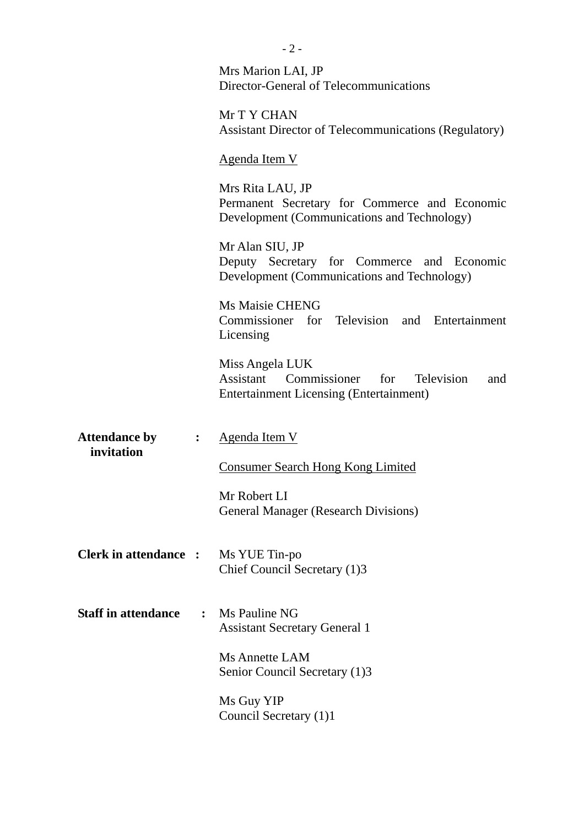|                                    |                | Mrs Marion LAI, JP<br>Director-General of Telecommunications                                                         |
|------------------------------------|----------------|----------------------------------------------------------------------------------------------------------------------|
|                                    |                | Mr T Y CHAN<br><b>Assistant Director of Telecommunications (Regulatory)</b>                                          |
|                                    |                | <u>Agenda Item V</u>                                                                                                 |
|                                    |                | Mrs Rita LAU, JP<br>Permanent Secretary for Commerce and Economic<br>Development (Communications and Technology)     |
|                                    |                | Mr Alan SIU, JP<br>Deputy Secretary for Commerce and Economic<br>Development (Communications and Technology)         |
|                                    |                | Ms Maisie CHENG<br>Commissioner for Television and Entertainment<br>Licensing                                        |
|                                    |                | Miss Angela LUK<br>Assistant Commissioner<br>for Television<br>and<br><b>Entertainment Licensing (Entertainment)</b> |
| <b>Attendance by</b><br>invitation | $\ddot{\cdot}$ | <b>Agenda Item V</b>                                                                                                 |
|                                    |                | <b>Consumer Search Hong Kong Limited</b>                                                                             |
|                                    |                | Mr Robert LI<br><b>General Manager (Research Divisions)</b>                                                          |
| <b>Clerk in attendance :</b>       |                | Ms YUE Tin-po<br>Chief Council Secretary (1)3                                                                        |
| <b>Staff in attendance</b>         | $\ddot{\cdot}$ | Ms Pauline NG<br><b>Assistant Secretary General 1</b>                                                                |
|                                    |                | Ms Annette LAM<br>Senior Council Secretary (1)3                                                                      |
|                                    |                | Ms Guy YIP<br>Council Secretary (1)1                                                                                 |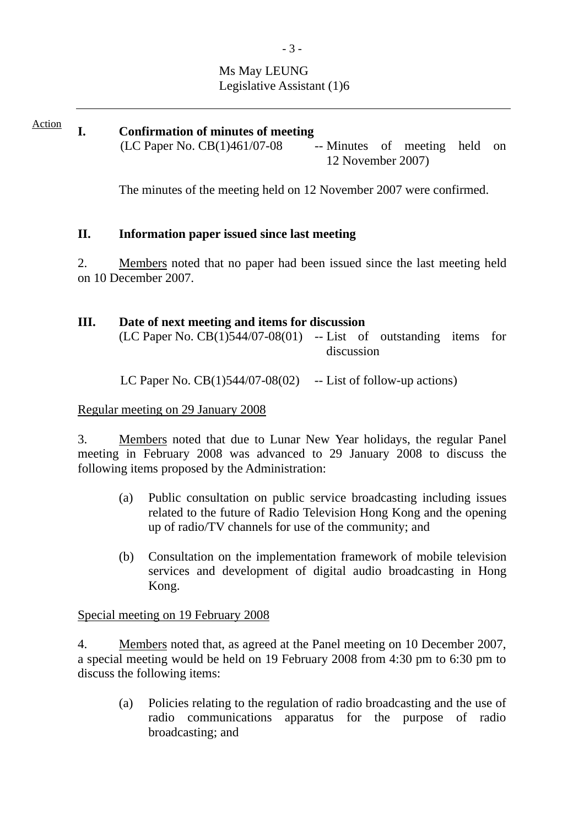# Ms May LEUNG Legislative Assistant (1)6

**I. Confirmation of minutes of meeting**   $(LC$  Paper No.  $CB(1)461/07-08$  -- Minutes of meeting held on 12 November 2007) Action

The minutes of the meeting held on 12 November 2007 were confirmed.

# **II. Information paper issued since last meeting**

2. Members noted that no paper had been issued since the last meeting held on 10 December 2007.

#### **III. Date of next meeting and items for discussion**

 $(LC$  Paper No.  $CB(1)544/07-08(01)$  -- List of outstanding items for discussion

LC Paper No.  $CB(1)544/07-08(02)$  -- List of follow-up actions)

# Regular meeting on 29 January 2008

3. Members noted that due to Lunar New Year holidays, the regular Panel meeting in February 2008 was advanced to 29 January 2008 to discuss the following items proposed by the Administration:

- (a) Public consultation on public service broadcasting including issues related to the future of Radio Television Hong Kong and the opening up of radio/TV channels for use of the community; and
- (b) Consultation on the implementation framework of mobile television services and development of digital audio broadcasting in Hong Kong.

Special meeting on 19 February 2008

4. Members noted that, as agreed at the Panel meeting on 10 December 2007, a special meeting would be held on 19 February 2008 from 4:30 pm to 6:30 pm to discuss the following items:

(a) Policies relating to the regulation of radio broadcasting and the use of radio communications apparatus for the purpose of radio broadcasting; and

- 3 -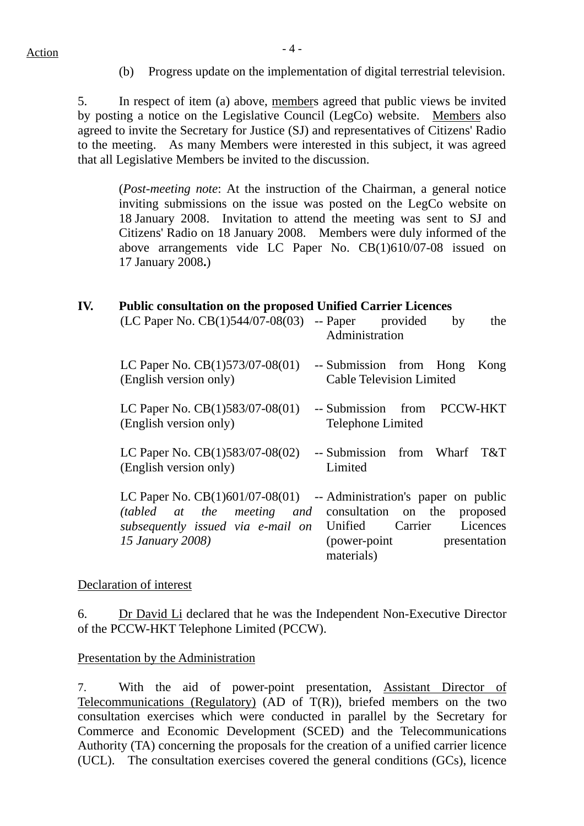(b) Progress update on the implementation of digital terrestrial television.

5. In respect of item (a) above, members agreed that public views be invited by posting a notice on the Legislative Council (LegCo) website. Members also agreed to invite the Secretary for Justice (SJ) and representatives of Citizens' Radio to the meeting. As many Members were interested in this subject, it was agreed that all Legislative Members be invited to the discussion.

(*Post-meeting note*: At the instruction of the Chairman, a general notice inviting submissions on the issue was posted on the LegCo website on 18 January 2008. Invitation to attend the meeting was sent to SJ and Citizens' Radio on 18 January 2008. Members were duly informed of the above arrangements vide LC Paper No. CB(1)610/07-08 issued on 17 January 2008**.**)

#### **IV. Public consultation on the proposed Unified Carrier Licences**

| (LC Paper No. $CB(1)544/07-08(03)$                                                                                       | -- Paper<br>provided<br>by<br>the<br>Administration                                                                                                  |
|--------------------------------------------------------------------------------------------------------------------------|------------------------------------------------------------------------------------------------------------------------------------------------------|
| LC Paper No. $CB(1)573/07-08(01)$<br>(English version only)                                                              | -- Submission from Hong<br>Kong<br><b>Cable Television Limited</b>                                                                                   |
| LC Paper No. CB(1)583/07-08(01)<br>(English version only)                                                                | -- Submission from<br>PCCW-HKT<br><b>Telephone Limited</b>                                                                                           |
| LC Paper No. $CB(1)583/07-08(02)$<br>(English version only)                                                              | -- Submission from Wharf T&T<br>Limited                                                                                                              |
| LC Paper No. $CB(1)601/07-08(01)$<br>(tabled at the meeting and<br>subsequently issued via e-mail on<br>15 January 2008) | -- Administration's paper on public<br>consultation on the<br>proposed<br>Licences<br>Unified Carrier<br>(power-point)<br>presentation<br>materials) |

#### Declaration of interest

6. Dr David Li declared that he was the Independent Non-Executive Director of the PCCW-HKT Telephone Limited (PCCW).

#### Presentation by the Administration

7. With the aid of power-point presentation, Assistant Director of Telecommunications (Regulatory) (AD of  $T(R)$ ), briefed members on the two consultation exercises which were conducted in parallel by the Secretary for Commerce and Economic Development (SCED) and the Telecommunications Authority (TA) concerning the proposals for the creation of a unified carrier licence (UCL). The consultation exercises covered the general conditions (GCs), licence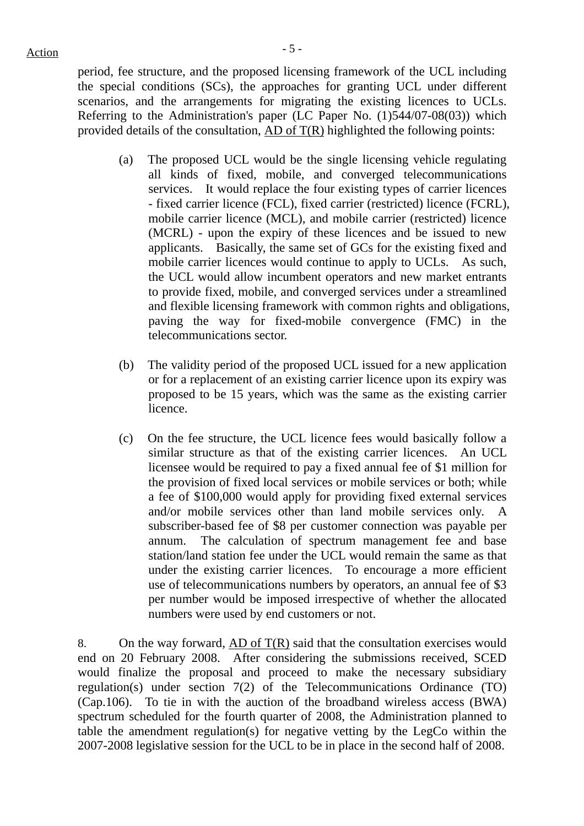period, fee structure, and the proposed licensing framework of the UCL including the special conditions (SCs), the approaches for granting UCL under different scenarios, and the arrangements for migrating the existing licences to UCLs. Referring to the Administration's paper (LC Paper No.  $(1)544/07-08(03)$ ) which provided details of the consultation, AD of  $T(R)$  highlighted the following points:

- (a) The proposed UCL would be the single licensing vehicle regulating all kinds of fixed, mobile, and converged telecommunications services. It would replace the four existing types of carrier licences - fixed carrier licence (FCL), fixed carrier (restricted) licence (FCRL), mobile carrier licence (MCL), and mobile carrier (restricted) licence (MCRL) - upon the expiry of these licences and be issued to new applicants. Basically, the same set of GCs for the existing fixed and mobile carrier licences would continue to apply to UCLs. As such, the UCL would allow incumbent operators and new market entrants to provide fixed, mobile, and converged services under a streamlined and flexible licensing framework with common rights and obligations, paving the way for fixed-mobile convergence (FMC) in the telecommunications sector.
- (b) The validity period of the proposed UCL issued for a new application or for a replacement of an existing carrier licence upon its expiry was proposed to be 15 years, which was the same as the existing carrier licence.
- (c) On the fee structure, the UCL licence fees would basically follow a similar structure as that of the existing carrier licences. An UCL licensee would be required to pay a fixed annual fee of \$1 million for the provision of fixed local services or mobile services or both; while a fee of \$100,000 would apply for providing fixed external services and/or mobile services other than land mobile services only. A subscriber-based fee of \$8 per customer connection was payable per annum. The calculation of spectrum management fee and base station/land station fee under the UCL would remain the same as that under the existing carrier licences. To encourage a more efficient use of telecommunications numbers by operators, an annual fee of \$3 per number would be imposed irrespective of whether the allocated numbers were used by end customers or not.

8. On the way forward, AD of  $T(R)$  said that the consultation exercises would end on 20 February 2008. After considering the submissions received, SCED would finalize the proposal and proceed to make the necessary subsidiary regulation(s) under section 7(2) of the Telecommunications Ordinance (TO) (Cap.106). To tie in with the auction of the broadband wireless access (BWA) spectrum scheduled for the fourth quarter of 2008, the Administration planned to table the amendment regulation(s) for negative vetting by the LegCo within the 2007-2008 legislative session for the UCL to be in place in the second half of 2008.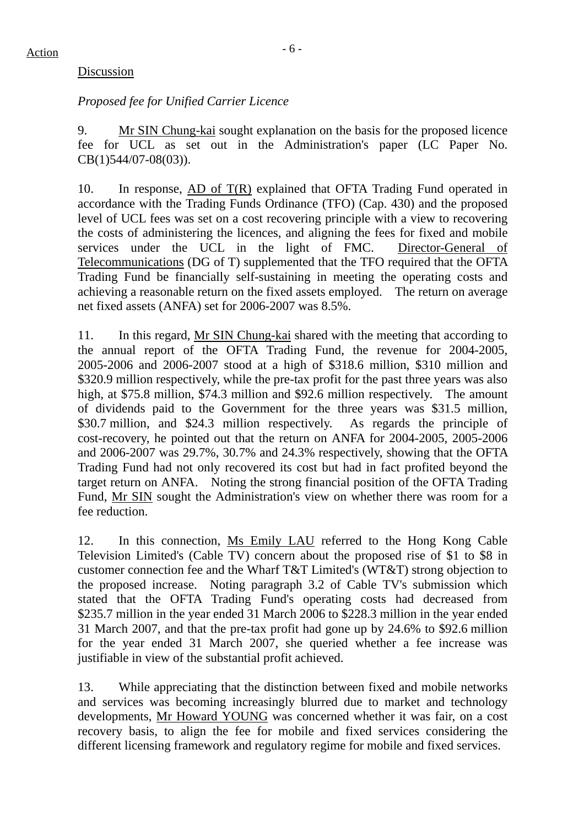#### Discussion

# *Proposed fee for Unified Carrier Licence*

9. Mr SIN Chung-kai sought explanation on the basis for the proposed licence fee for UCL as set out in the Administration's paper (LC Paper No. CB(1)544/07-08(03)).

10. In response, AD of T(R) explained that OFTA Trading Fund operated in accordance with the Trading Funds Ordinance (TFO) (Cap. 430) and the proposed level of UCL fees was set on a cost recovering principle with a view to recovering the costs of administering the licences, and aligning the fees for fixed and mobile services under the UCL in the light of FMC. Director-General of Telecommunications (DG of T) supplemented that the TFO required that the OFTA Trading Fund be financially self-sustaining in meeting the operating costs and achieving a reasonable return on the fixed assets employed. The return on average net fixed assets (ANFA) set for 2006-2007 was 8.5%.

11. In this regard, Mr SIN Chung-kai shared with the meeting that according to the annual report of the OFTA Trading Fund, the revenue for 2004-2005, 2005-2006 and 2006-2007 stood at a high of \$318.6 million, \$310 million and \$320.9 million respectively, while the pre-tax profit for the past three years was also high, at \$75.8 million, \$74.3 million and \$92.6 million respectively. The amount of dividends paid to the Government for the three years was \$31.5 million, \$30.7 million, and \$24.3 million respectively. As regards the principle of cost-recovery, he pointed out that the return on ANFA for 2004-2005, 2005-2006 and 2006-2007 was 29.7%, 30.7% and 24.3% respectively, showing that the OFTA Trading Fund had not only recovered its cost but had in fact profited beyond the target return on ANFA. Noting the strong financial position of the OFTA Trading Fund, Mr SIN sought the Administration's view on whether there was room for a fee reduction.

12. In this connection, Ms Emily LAU referred to the Hong Kong Cable Television Limited's (Cable TV) concern about the proposed rise of \$1 to \$8 in customer connection fee and the Wharf T&T Limited's (WT&T) strong objection to the proposed increase. Noting paragraph 3.2 of Cable TV's submission which stated that the OFTA Trading Fund's operating costs had decreased from \$235.7 million in the year ended 31 March 2006 to \$228.3 million in the year ended 31 March 2007, and that the pre-tax profit had gone up by 24.6% to \$92.6 million for the year ended 31 March 2007, she queried whether a fee increase was justifiable in view of the substantial profit achieved.

13. While appreciating that the distinction between fixed and mobile networks and services was becoming increasingly blurred due to market and technology developments, Mr Howard YOUNG was concerned whether it was fair, on a cost recovery basis, to align the fee for mobile and fixed services considering the different licensing framework and regulatory regime for mobile and fixed services.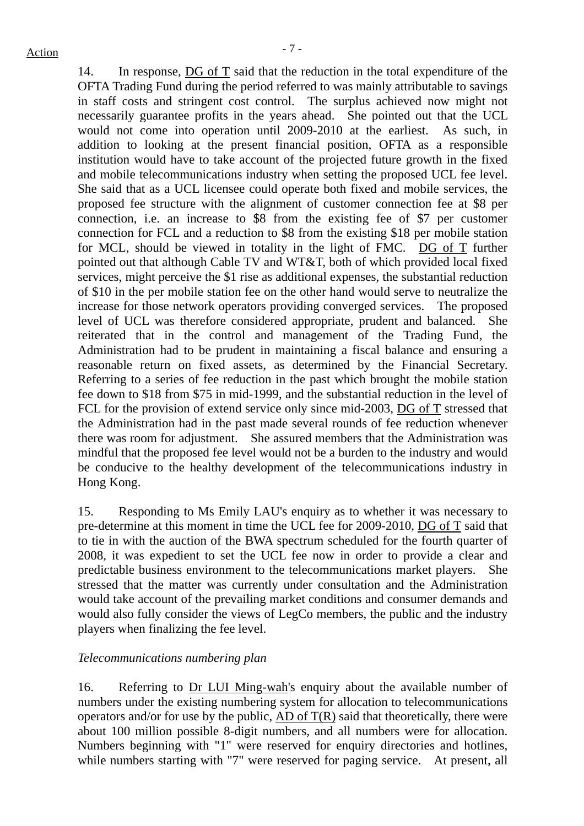14. In response, DG of T said that the reduction in the total expenditure of the OFTA Trading Fund during the period referred to was mainly attributable to savings in staff costs and stringent cost control. The surplus achieved now might not necessarily guarantee profits in the years ahead. She pointed out that the UCL would not come into operation until 2009-2010 at the earliest. As such, in addition to looking at the present financial position, OFTA as a responsible institution would have to take account of the projected future growth in the fixed and mobile telecommunications industry when setting the proposed UCL fee level. She said that as a UCL licensee could operate both fixed and mobile services, the proposed fee structure with the alignment of customer connection fee at \$8 per connection, i.e. an increase to \$8 from the existing fee of \$7 per customer connection for FCL and a reduction to \$8 from the existing \$18 per mobile station for MCL, should be viewed in totality in the light of FMC.  $DG_0fT$  further pointed out that although Cable TV and WT&T, both of which provided local fixed services, might perceive the \$1 rise as additional expenses, the substantial reduction of \$10 in the per mobile station fee on the other hand would serve to neutralize the increase for those network operators providing converged services. The proposed level of UCL was therefore considered appropriate, prudent and balanced. She reiterated that in the control and management of the Trading Fund, the Administration had to be prudent in maintaining a fiscal balance and ensuring a reasonable return on fixed assets, as determined by the Financial Secretary. Referring to a series of fee reduction in the past which brought the mobile station fee down to \$18 from \$75 in mid-1999, and the substantial reduction in the level of FCL for the provision of extend service only since mid-2003, DG of T stressed that the Administration had in the past made several rounds of fee reduction whenever there was room for adjustment. She assured members that the Administration was mindful that the proposed fee level would not be a burden to the industry and would be conducive to the healthy development of the telecommunications industry in Hong Kong.

15. Responding to Ms Emily LAU's enquiry as to whether it was necessary to pre-determine at this moment in time the UCL fee for 2009-2010, DG of T said that to tie in with the auction of the BWA spectrum scheduled for the fourth quarter of 2008, it was expedient to set the UCL fee now in order to provide a clear and predictable business environment to the telecommunications market players. She stressed that the matter was currently under consultation and the Administration would take account of the prevailing market conditions and consumer demands and would also fully consider the views of LegCo members, the public and the industry players when finalizing the fee level.

# *Telecommunications numbering plan*

16. Referring to Dr LUI Ming-wah's enquiry about the available number of numbers under the existing numbering system for allocation to telecommunications operators and/or for use by the public, AD of  $T(R)$  said that theoretically, there were about 100 million possible 8-digit numbers, and all numbers were for allocation. Numbers beginning with "1" were reserved for enquiry directories and hotlines, while numbers starting with "7" were reserved for paging service. At present, all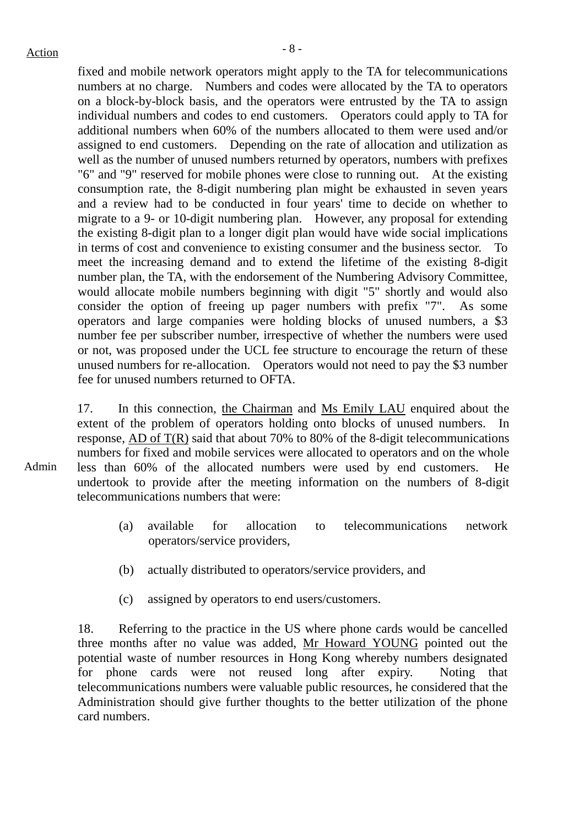Admin

fixed and mobile network operators might apply to the TA for telecommunications numbers at no charge. Numbers and codes were allocated by the TA to operators on a block-by-block basis, and the operators were entrusted by the TA to assign individual numbers and codes to end customers. Operators could apply to TA for additional numbers when 60% of the numbers allocated to them were used and/or assigned to end customers. Depending on the rate of allocation and utilization as well as the number of unused numbers returned by operators, numbers with prefixes "6" and "9" reserved for mobile phones were close to running out. At the existing consumption rate, the 8-digit numbering plan might be exhausted in seven years and a review had to be conducted in four years' time to decide on whether to migrate to a 9- or 10-digit numbering plan. However, any proposal for extending the existing 8-digit plan to a longer digit plan would have wide social implications in terms of cost and convenience to existing consumer and the business sector. To meet the increasing demand and to extend the lifetime of the existing 8-digit number plan, the TA, with the endorsement of the Numbering Advisory Committee, would allocate mobile numbers beginning with digit "5" shortly and would also consider the option of freeing up pager numbers with prefix "7". As some operators and large companies were holding blocks of unused numbers, a \$3 number fee per subscriber number, irrespective of whether the numbers were used or not, was proposed under the UCL fee structure to encourage the return of these unused numbers for re-allocation. Operators would not need to pay the \$3 number fee for unused numbers returned to OFTA.

17. In this connection, the Chairman and Ms Emily LAU enquired about the extent of the problem of operators holding onto blocks of unused numbers. In response, AD of T(R) said that about 70% to 80% of the 8-digit telecommunications numbers for fixed and mobile services were allocated to operators and on the whole less than 60% of the allocated numbers were used by end customers. He undertook to provide after the meeting information on the numbers of 8-digit telecommunications numbers that were:

- (a) available for allocation to telecommunications network operators/service providers,
- (b) actually distributed to operators/service providers, and
- (c) assigned by operators to end users/customers.

18. Referring to the practice in the US where phone cards would be cancelled three months after no value was added, Mr Howard YOUNG pointed out the potential waste of number resources in Hong Kong whereby numbers designated for phone cards were not reused long after expiry. Noting that telecommunications numbers were valuable public resources, he considered that the Administration should give further thoughts to the better utilization of the phone card numbers.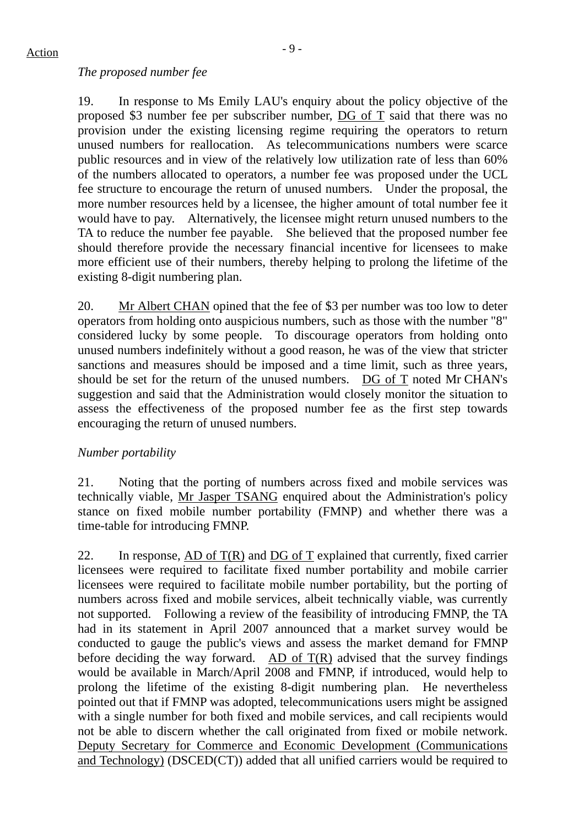#### *The proposed number fee*

19. In response to Ms Emily LAU's enquiry about the policy objective of the proposed \$3 number fee per subscriber number, DG of T said that there was no provision under the existing licensing regime requiring the operators to return unused numbers for reallocation. As telecommunications numbers were scarce public resources and in view of the relatively low utilization rate of less than 60% of the numbers allocated to operators, a number fee was proposed under the UCL fee structure to encourage the return of unused numbers. Under the proposal, the more number resources held by a licensee, the higher amount of total number fee it would have to pay. Alternatively, the licensee might return unused numbers to the TA to reduce the number fee payable. She believed that the proposed number fee should therefore provide the necessary financial incentive for licensees to make more efficient use of their numbers, thereby helping to prolong the lifetime of the existing 8-digit numbering plan.

20. Mr Albert CHAN opined that the fee of \$3 per number was too low to deter operators from holding onto auspicious numbers, such as those with the number "8" considered lucky by some people. To discourage operators from holding onto unused numbers indefinitely without a good reason, he was of the view that stricter sanctions and measures should be imposed and a time limit, such as three years, should be set for the return of the unused numbers. DG of T noted Mr CHAN's suggestion and said that the Administration would closely monitor the situation to assess the effectiveness of the proposed number fee as the first step towards encouraging the return of unused numbers.

# *Number portability*

21. Noting that the porting of numbers across fixed and mobile services was technically viable, Mr Jasper TSANG enquired about the Administration's policy stance on fixed mobile number portability (FMNP) and whether there was a time-table for introducing FMNP.

22. In response, AD of  $T(R)$  and DG of T explained that currently, fixed carrier licensees were required to facilitate fixed number portability and mobile carrier licensees were required to facilitate mobile number portability, but the porting of numbers across fixed and mobile services, albeit technically viable, was currently not supported. Following a review of the feasibility of introducing FMNP, the TA had in its statement in April 2007 announced that a market survey would be conducted to gauge the public's views and assess the market demand for FMNP before deciding the way forward. AD of  $T(R)$  advised that the survey findings would be available in March/April 2008 and FMNP, if introduced, would help to prolong the lifetime of the existing 8-digit numbering plan. He nevertheless pointed out that if FMNP was adopted, telecommunications users might be assigned with a single number for both fixed and mobile services, and call recipients would not be able to discern whether the call originated from fixed or mobile network. Deputy Secretary for Commerce and Economic Development (Communications and Technology) (DSCED(CT)) added that all unified carriers would be required to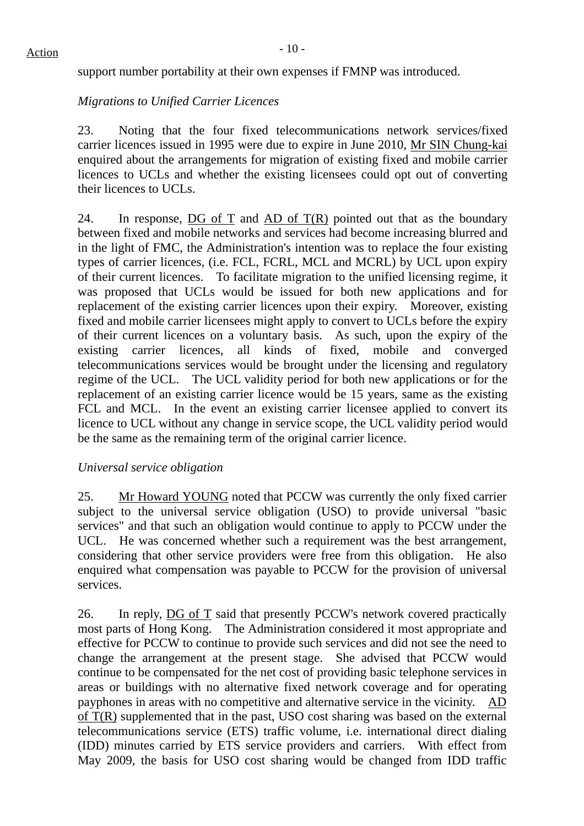support number portability at their own expenses if FMNP was introduced.

# *Migrations to Unified Carrier Licences*

23. Noting that the four fixed telecommunications network services/fixed carrier licences issued in 1995 were due to expire in June 2010, Mr SIN Chung-kai enquired about the arrangements for migration of existing fixed and mobile carrier licences to UCLs and whether the existing licensees could opt out of converting their licences to UCLs.

24. In response, DG of T and AD of  $T(R)$  pointed out that as the boundary between fixed and mobile networks and services had become increasing blurred and in the light of FMC, the Administration's intention was to replace the four existing types of carrier licences, (i.e. FCL, FCRL, MCL and MCRL) by UCL upon expiry of their current licences. To facilitate migration to the unified licensing regime, it was proposed that UCLs would be issued for both new applications and for replacement of the existing carrier licences upon their expiry. Moreover, existing fixed and mobile carrier licensees might apply to convert to UCLs before the expiry of their current licences on a voluntary basis. As such, upon the expiry of the existing carrier licences, all kinds of fixed, mobile and converged telecommunications services would be brought under the licensing and regulatory regime of the UCL. The UCL validity period for both new applications or for the replacement of an existing carrier licence would be 15 years, same as the existing FCL and MCL. In the event an existing carrier licensee applied to convert its licence to UCL without any change in service scope, the UCL validity period would be the same as the remaining term of the original carrier licence.

# *Universal service obligation*

25. Mr Howard YOUNG noted that PCCW was currently the only fixed carrier subject to the universal service obligation (USO) to provide universal "basic services" and that such an obligation would continue to apply to PCCW under the UCL. He was concerned whether such a requirement was the best arrangement, considering that other service providers were free from this obligation. He also enquired what compensation was payable to PCCW for the provision of universal services.

26. In reply,  $\overline{DG}$  of  $\overline{T}$  said that presently PCCW's network covered practically most parts of Hong Kong. The Administration considered it most appropriate and effective for PCCW to continue to provide such services and did not see the need to change the arrangement at the present stage. She advised that PCCW would continue to be compensated for the net cost of providing basic telephone services in areas or buildings with no alternative fixed network coverage and for operating payphones in areas with no competitive and alternative service in the vicinity. AD of T(R) supplemented that in the past, USO cost sharing was based on the external telecommunications service (ETS) traffic volume, i.e. international direct dialing (IDD) minutes carried by ETS service providers and carriers. With effect from May 2009, the basis for USO cost sharing would be changed from IDD traffic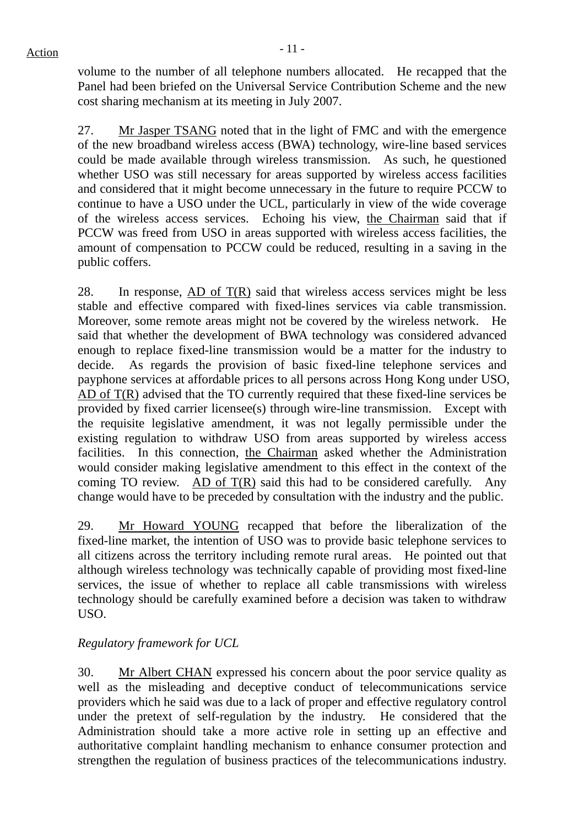volume to the number of all telephone numbers allocated. He recapped that the Panel had been briefed on the Universal Service Contribution Scheme and the new cost sharing mechanism at its meeting in July 2007.

27. Mr Jasper TSANG noted that in the light of FMC and with the emergence of the new broadband wireless access (BWA) technology, wire-line based services could be made available through wireless transmission. As such, he questioned whether USO was still necessary for areas supported by wireless access facilities and considered that it might become unnecessary in the future to require PCCW to continue to have a USO under the UCL, particularly in view of the wide coverage of the wireless access services. Echoing his view, the Chairman said that if PCCW was freed from USO in areas supported with wireless access facilities, the amount of compensation to PCCW could be reduced, resulting in a saving in the public coffers.

28. In response,  $AD \text{ of } T(R)$  said that wireless access services might be less stable and effective compared with fixed-lines services via cable transmission. Moreover, some remote areas might not be covered by the wireless network. He said that whether the development of BWA technology was considered advanced enough to replace fixed-line transmission would be a matter for the industry to decide. As regards the provision of basic fixed-line telephone services and payphone services at affordable prices to all persons across Hong Kong under USO, AD of T(R) advised that the TO currently required that these fixed-line services be provided by fixed carrier licensee(s) through wire-line transmission. Except with the requisite legislative amendment, it was not legally permissible under the existing regulation to withdraw USO from areas supported by wireless access facilities. In this connection, the Chairman asked whether the Administration would consider making legislative amendment to this effect in the context of the coming TO review. AD of  $T(R)$  said this had to be considered carefully. Any change would have to be preceded by consultation with the industry and the public.

29. Mr Howard YOUNG recapped that before the liberalization of the fixed-line market, the intention of USO was to provide basic telephone services to all citizens across the territory including remote rural areas. He pointed out that although wireless technology was technically capable of providing most fixed-line services, the issue of whether to replace all cable transmissions with wireless technology should be carefully examined before a decision was taken to withdraw USO.

# *Regulatory framework for UCL*

30. Mr Albert CHAN expressed his concern about the poor service quality as well as the misleading and deceptive conduct of telecommunications service providers which he said was due to a lack of proper and effective regulatory control under the pretext of self-regulation by the industry. He considered that the Administration should take a more active role in setting up an effective and authoritative complaint handling mechanism to enhance consumer protection and strengthen the regulation of business practices of the telecommunications industry.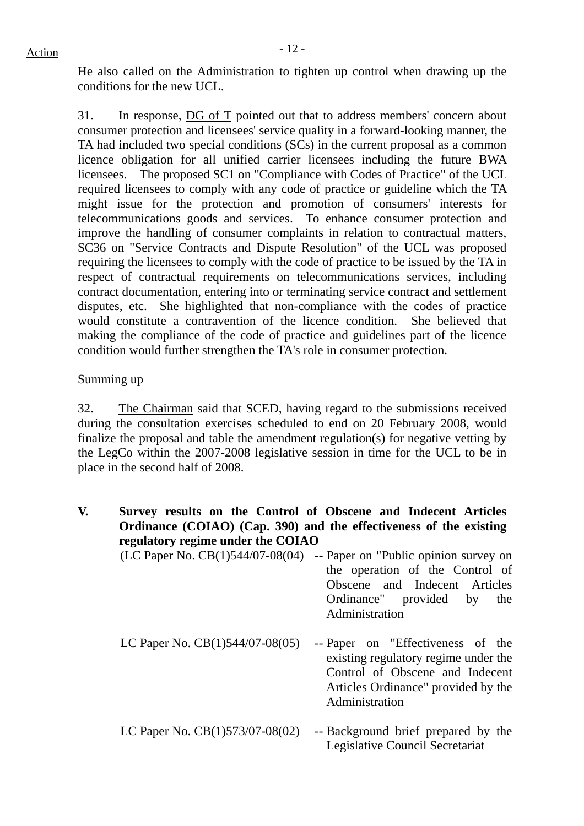He also called on the Administration to tighten up control when drawing up the conditions for the new UCL.

31. In response, DG of T pointed out that to address members' concern about consumer protection and licensees' service quality in a forward-looking manner, the TA had included two special conditions (SCs) in the current proposal as a common licence obligation for all unified carrier licensees including the future BWA licensees. The proposed SC1 on "Compliance with Codes of Practice" of the UCL required licensees to comply with any code of practice or guideline which the TA might issue for the protection and promotion of consumers' interests for telecommunications goods and services. To enhance consumer protection and improve the handling of consumer complaints in relation to contractual matters, SC36 on "Service Contracts and Dispute Resolution" of the UCL was proposed requiring the licensees to comply with the code of practice to be issued by the TA in respect of contractual requirements on telecommunications services, including contract documentation, entering into or terminating service contract and settlement disputes, etc. She highlighted that non-compliance with the codes of practice would constitute a contravention of the licence condition. She believed that making the compliance of the code of practice and guidelines part of the licence condition would further strengthen the TA's role in consumer protection.

#### Summing up

32. The Chairman said that SCED, having regard to the submissions received during the consultation exercises scheduled to end on 20 February 2008, would finalize the proposal and table the amendment regulation(s) for negative vetting by the LegCo within the 2007-2008 legislative session in time for the UCL to be in place in the second half of 2008.

- **V. Survey results on the Control of Obscene and Indecent Articles Ordinance (COIAO) (Cap. 390) and the effectiveness of the existing regulatory regime under the COIAO** 
	- (LC Paper No. CB(1)544/07-08(04) -- Paper on "Public opinion survey on the operation of the Control of Obscene and Indecent Articles Ordinance" provided by the Administration
	- LC Paper No. CB(1)544/07-08(05) -- Paper on "Effectiveness of the existing regulatory regime under the Control of Obscene and Indecent Articles Ordinance" provided by the Administration
	- LC Paper No.  $CB(1)573/07-08(02)$  -- Background brief prepared by the Legislative Council Secretariat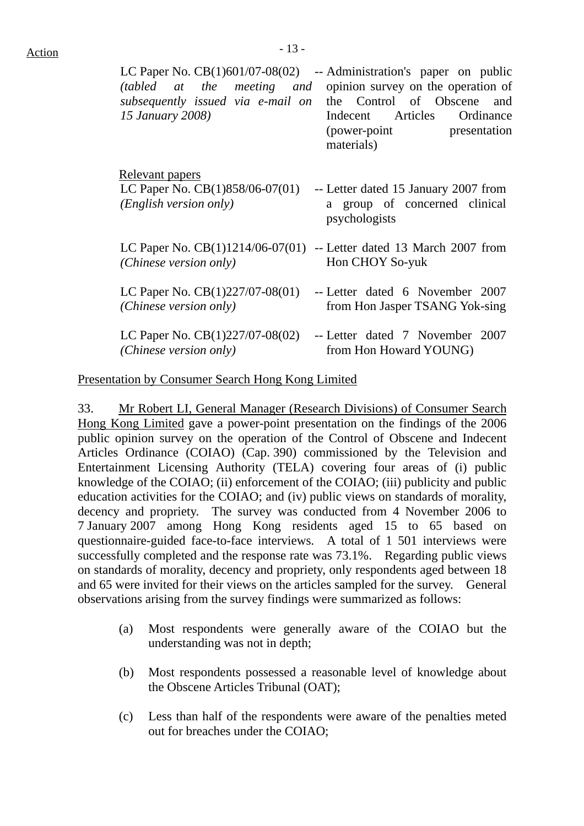| LC Paper No. CB(1)601/07-08(02)<br>(tabled at the meeting and<br>subsequently issued via e-mail on<br><i><b>15 January 2008)</b></i> | -- Administration's paper on public<br>opinion survey on the operation of<br>the Control of Obscene<br>and<br>Indecent Articles Ordinance<br>(power-point presentation<br>materials) |
|--------------------------------------------------------------------------------------------------------------------------------------|--------------------------------------------------------------------------------------------------------------------------------------------------------------------------------------|
| <u>Relevant</u> papers                                                                                                               | -- Letter dated 15 January 2007 from                                                                                                                                                 |
| LC Paper No. $CB(1)858/06-07(01)$                                                                                                    | a group of concerned clinical                                                                                                                                                        |
| ( <i>English version only</i> )                                                                                                      | psychologists                                                                                                                                                                        |
| LC Paper No. $CB(1)1214/06-07(01)$ -- Letter dated 13 March 2007 from<br>(Chinese version only)                                      | Hon CHOY So-yuk                                                                                                                                                                      |
| LC Paper No. $CB(1)227/07-08(01)$                                                                                                    | -- Letter dated 6 November 2007                                                                                                                                                      |
| (Chinese version only)                                                                                                               | from Hon Jasper TSANG Yok-sing                                                                                                                                                       |
| LC Paper No. $CB(1)227/07-08(02)$                                                                                                    | -- Letter dated 7 November 2007                                                                                                                                                      |
| (Chinese version only)                                                                                                               | from Hon Howard YOUNG)                                                                                                                                                               |

Presentation by Consumer Search Hong Kong Limited

33. Mr Robert LI, General Manager (Research Divisions) of Consumer Search Hong Kong Limited gave a power-point presentation on the findings of the 2006 public opinion survey on the operation of the Control of Obscene and Indecent Articles Ordinance (COIAO) (Cap. 390) commissioned by the Television and Entertainment Licensing Authority (TELA) covering four areas of (i) public knowledge of the COIAO; (ii) enforcement of the COIAO; (iii) publicity and public education activities for the COIAO; and (iv) public views on standards of morality, decency and propriety. The survey was conducted from 4 November 2006 to 7 January 2007 among Hong Kong residents aged 15 to 65 based on questionnaire-guided face-to-face interviews. A total of 1 501 interviews were successfully completed and the response rate was 73.1%. Regarding public views on standards of morality, decency and propriety, only respondents aged between 18 and 65 were invited for their views on the articles sampled for the survey. General observations arising from the survey findings were summarized as follows:

- (a) Most respondents were generally aware of the COIAO but the understanding was not in depth;
- (b) Most respondents possessed a reasonable level of knowledge about the Obscene Articles Tribunal (OAT);
- (c) Less than half of the respondents were aware of the penalties meted out for breaches under the COIAO;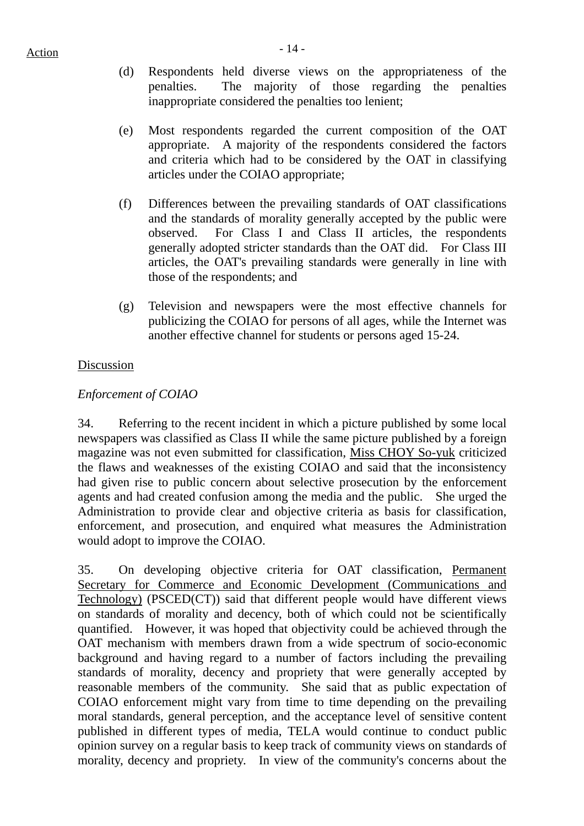- (d) Respondents held diverse views on the appropriateness of the penalties. The majority of those regarding the penalties inappropriate considered the penalties too lenient;
- (e) Most respondents regarded the current composition of the OAT appropriate. A majority of the respondents considered the factors and criteria which had to be considered by the OAT in classifying articles under the COIAO appropriate;
- (f) Differences between the prevailing standards of OAT classifications and the standards of morality generally accepted by the public were observed. For Class I and Class II articles, the respondents generally adopted stricter standards than the OAT did. For Class III articles, the OAT's prevailing standards were generally in line with those of the respondents; and
- (g) Television and newspapers were the most effective channels for publicizing the COIAO for persons of all ages, while the Internet was another effective channel for students or persons aged 15-24.

#### Discussion

# *Enforcement of COIAO*

34. Referring to the recent incident in which a picture published by some local newspapers was classified as Class II while the same picture published by a foreign magazine was not even submitted for classification, Miss CHOY So-yuk criticized the flaws and weaknesses of the existing COIAO and said that the inconsistency had given rise to public concern about selective prosecution by the enforcement agents and had created confusion among the media and the public. She urged the Administration to provide clear and objective criteria as basis for classification, enforcement, and prosecution, and enquired what measures the Administration would adopt to improve the COIAO.

35. On developing objective criteria for OAT classification, Permanent Secretary for Commerce and Economic Development (Communications and Technology) (PSCED(CT)) said that different people would have different views on standards of morality and decency, both of which could not be scientifically quantified. However, it was hoped that objectivity could be achieved through the OAT mechanism with members drawn from a wide spectrum of socio-economic background and having regard to a number of factors including the prevailing standards of morality, decency and propriety that were generally accepted by reasonable members of the community. She said that as public expectation of COIAO enforcement might vary from time to time depending on the prevailing moral standards, general perception, and the acceptance level of sensitive content published in different types of media, TELA would continue to conduct public opinion survey on a regular basis to keep track of community views on standards of morality, decency and propriety. In view of the community's concerns about the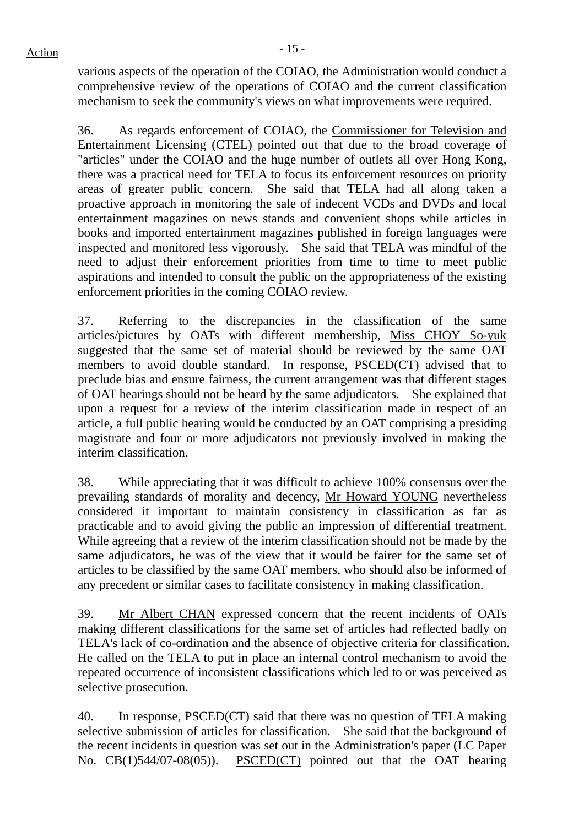various aspects of the operation of the COIAO, the Administration would conduct a comprehensive review of the operations of COIAO and the current classification mechanism to seek the community's views on what improvements were required.

36. As regards enforcement of COIAO, the Commissioner for Television and Entertainment Licensing (CTEL) pointed out that due to the broad coverage of "articles" under the COIAO and the huge number of outlets all over Hong Kong, there was a practical need for TELA to focus its enforcement resources on priority areas of greater public concern. She said that TELA had all along taken a proactive approach in monitoring the sale of indecent VCDs and DVDs and local entertainment magazines on news stands and convenient shops while articles in books and imported entertainment magazines published in foreign languages were inspected and monitored less vigorously. She said that TELA was mindful of the need to adjust their enforcement priorities from time to time to meet public aspirations and intended to consult the public on the appropriateness of the existing enforcement priorities in the coming COIAO review.

37. Referring to the discrepancies in the classification of the same articles/pictures by OATs with different membership, Miss CHOY So-yuk suggested that the same set of material should be reviewed by the same OAT members to avoid double standard. In response, PSCED(CT) advised that to preclude bias and ensure fairness, the current arrangement was that different stages of OAT hearings should not be heard by the same adjudicators. She explained that upon a request for a review of the interim classification made in respect of an article, a full public hearing would be conducted by an OAT comprising a presiding magistrate and four or more adjudicators not previously involved in making the interim classification.

38. While appreciating that it was difficult to achieve 100% consensus over the prevailing standards of morality and decency, Mr Howard YOUNG nevertheless considered it important to maintain consistency in classification as far as practicable and to avoid giving the public an impression of differential treatment. While agreeing that a review of the interim classification should not be made by the same adjudicators, he was of the view that it would be fairer for the same set of articles to be classified by the same OAT members, who should also be informed of any precedent or similar cases to facilitate consistency in making classification.

39. Mr Albert CHAN expressed concern that the recent incidents of OATs making different classifications for the same set of articles had reflected badly on TELA's lack of co-ordination and the absence of objective criteria for classification. He called on the TELA to put in place an internal control mechanism to avoid the repeated occurrence of inconsistent classifications which led to or was perceived as selective prosecution.

40. In response, PSCED(CT) said that there was no question of TELA making selective submission of articles for classification. She said that the background of the recent incidents in question was set out in the Administration's paper (LC Paper No. CB(1)544/07-08(05)). PSCED(CT) pointed out that the OAT hearing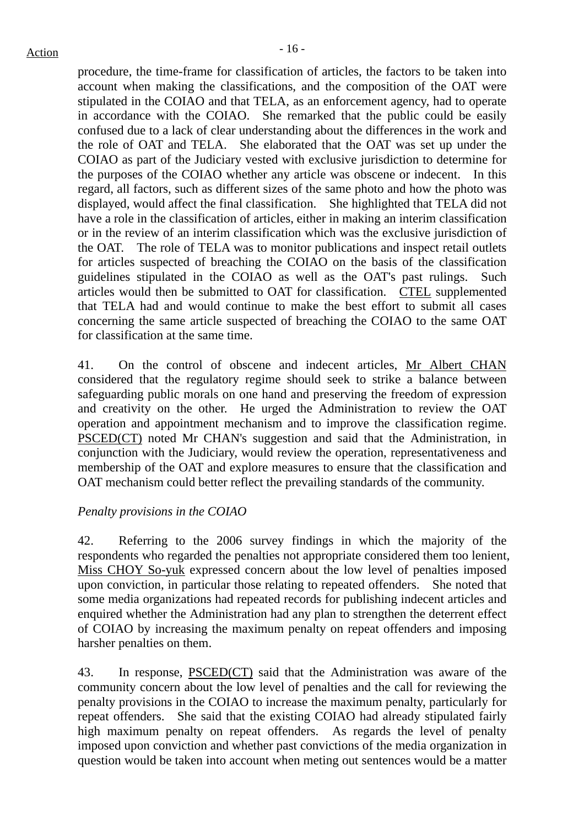procedure, the time-frame for classification of articles, the factors to be taken into account when making the classifications, and the composition of the OAT were stipulated in the COIAO and that TELA, as an enforcement agency, had to operate in accordance with the COIAO. She remarked that the public could be easily confused due to a lack of clear understanding about the differences in the work and the role of OAT and TELA. She elaborated that the OAT was set up under the COIAO as part of the Judiciary vested with exclusive jurisdiction to determine for the purposes of the COIAO whether any article was obscene or indecent. In this regard, all factors, such as different sizes of the same photo and how the photo was displayed, would affect the final classification. She highlighted that TELA did not have a role in the classification of articles, either in making an interim classification or in the review of an interim classification which was the exclusive jurisdiction of the OAT. The role of TELA was to monitor publications and inspect retail outlets for articles suspected of breaching the COIAO on the basis of the classification guidelines stipulated in the COIAO as well as the OAT's past rulings. Such articles would then be submitted to OAT for classification. CTEL supplemented that TELA had and would continue to make the best effort to submit all cases concerning the same article suspected of breaching the COIAO to the same OAT for classification at the same time.

41. On the control of obscene and indecent articles, Mr Albert CHAN considered that the regulatory regime should seek to strike a balance between safeguarding public morals on one hand and preserving the freedom of expression and creativity on the other. He urged the Administration to review the OAT operation and appointment mechanism and to improve the classification regime. PSCED(CT) noted Mr CHAN's suggestion and said that the Administration, in conjunction with the Judiciary, would review the operation, representativeness and membership of the OAT and explore measures to ensure that the classification and OAT mechanism could better reflect the prevailing standards of the community.

# *Penalty provisions in the COIAO*

42. Referring to the 2006 survey findings in which the majority of the respondents who regarded the penalties not appropriate considered them too lenient, Miss CHOY So-yuk expressed concern about the low level of penalties imposed upon conviction, in particular those relating to repeated offenders. She noted that some media organizations had repeated records for publishing indecent articles and enquired whether the Administration had any plan to strengthen the deterrent effect of COIAO by increasing the maximum penalty on repeat offenders and imposing harsher penalties on them.

43. In response, PSCED(CT) said that the Administration was aware of the community concern about the low level of penalties and the call for reviewing the penalty provisions in the COIAO to increase the maximum penalty, particularly for repeat offenders. She said that the existing COIAO had already stipulated fairly high maximum penalty on repeat offenders. As regards the level of penalty imposed upon conviction and whether past convictions of the media organization in question would be taken into account when meting out sentences would be a matter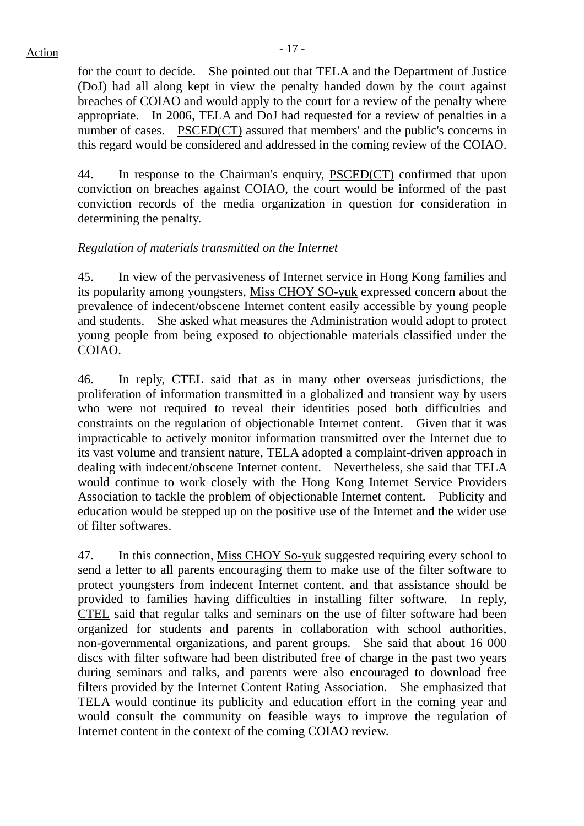# $Action$

for the court to decide. She pointed out that TELA and the Department of Justice (DoJ) had all along kept in view the penalty handed down by the court against breaches of COIAO and would apply to the court for a review of the penalty where appropriate. In 2006, TELA and DoJ had requested for a review of penalties in a number of cases. PSCED(CT) assured that members' and the public's concerns in this regard would be considered and addressed in the coming review of the COIAO.

44. In response to the Chairman's enquiry, PSCED(CT) confirmed that upon conviction on breaches against COIAO, the court would be informed of the past conviction records of the media organization in question for consideration in determining the penalty.

# *Regulation of materials transmitted on the Internet*

45. In view of the pervasiveness of Internet service in Hong Kong families and its popularity among youngsters, Miss CHOY SO-yuk expressed concern about the prevalence of indecent/obscene Internet content easily accessible by young people and students. She asked what measures the Administration would adopt to protect young people from being exposed to objectionable materials classified under the COIAO.

46. In reply, CTEL said that as in many other overseas jurisdictions, the proliferation of information transmitted in a globalized and transient way by users who were not required to reveal their identities posed both difficulties and constraints on the regulation of objectionable Internet content. Given that it was impracticable to actively monitor information transmitted over the Internet due to its vast volume and transient nature, TELA adopted a complaint-driven approach in dealing with indecent/obscene Internet content. Nevertheless, she said that TELA would continue to work closely with the Hong Kong Internet Service Providers Association to tackle the problem of objectionable Internet content. Publicity and education would be stepped up on the positive use of the Internet and the wider use of filter softwares.

47. In this connection, Miss CHOY So-yuk suggested requiring every school to send a letter to all parents encouraging them to make use of the filter software to protect youngsters from indecent Internet content, and that assistance should be provided to families having difficulties in installing filter software. In reply, CTEL said that regular talks and seminars on the use of filter software had been organized for students and parents in collaboration with school authorities, non-governmental organizations, and parent groups. She said that about 16 000 discs with filter software had been distributed free of charge in the past two years during seminars and talks, and parents were also encouraged to download free filters provided by the Internet Content Rating Association. She emphasized that TELA would continue its publicity and education effort in the coming year and would consult the community on feasible ways to improve the regulation of Internet content in the context of the coming COIAO review.